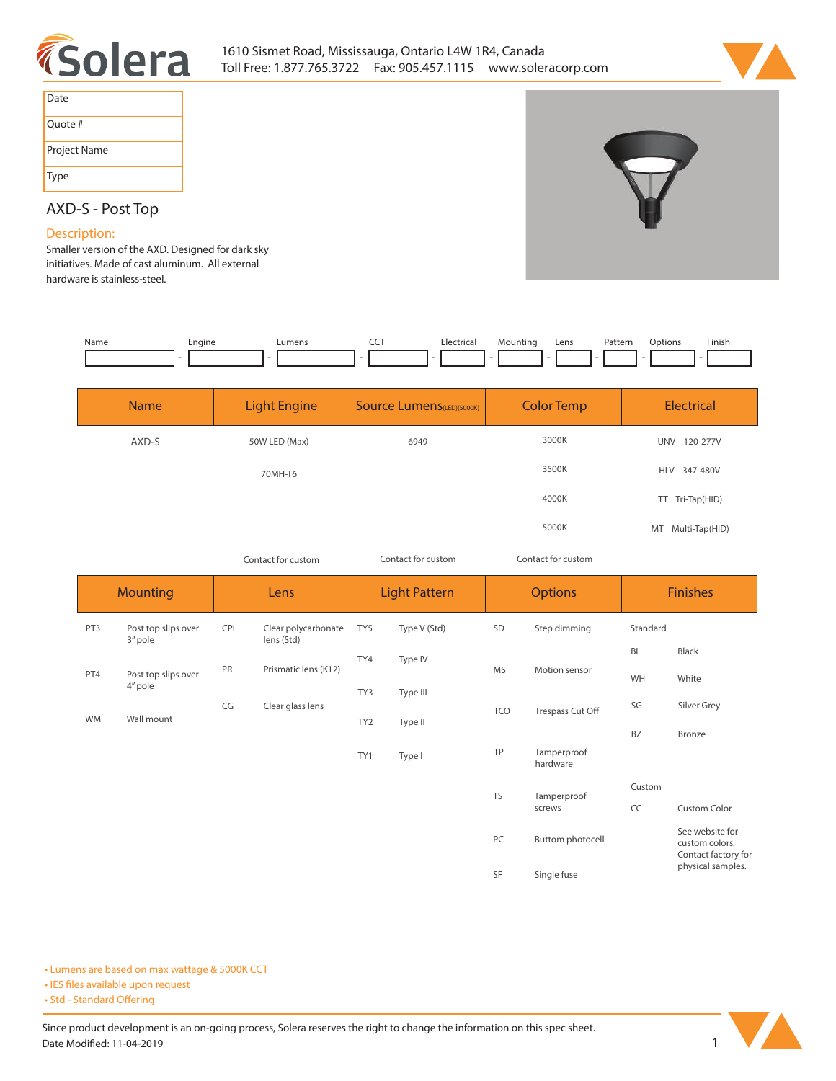



| Date         |
|--------------|
| Ouote #      |
| Project Name |
| Type         |

# **AXD-S - Post Top**

### **Description:**

**Smaller version of the AXD. Designed for dark sky initiatives. Made of cast aluminum. All external hardware is stainless-steel.** 

| Name | Engine | umens. | ---<br>$\tilde{}$<br>$ -$ | Flectricai<br>. | Mountinc<br>- | Lens | Patterr<br>. | otion: | Finish |
|------|--------|--------|---------------------------|-----------------|---------------|------|--------------|--------|--------|
|      |        |        |                           |                 |               |      |              |        |        |

| <b>Name</b> | <b>Light Engine</b> | <b>Source Lumens</b> (LED)(5000K) | <b>Color Temp</b> | <b>Electrical</b>      |
|-------------|---------------------|-----------------------------------|-------------------|------------------------|
| AXD-S       | 50W LED (Max)       | 6949                              | 3000K             | <b>UNV</b><br>120-277V |
|             | 70MH-T6             |                                   | 3500K             | HLV 347-480V           |
|             |                     |                                   | 4000K             | TT Tri-Tap(HID)        |
|             |                     |                                   | 5000K             | Multi-Tap(HID)<br>MT   |

*Contact for custom Contact for custom*

*Contact for custom*

| <b>Mounting</b> |                                | Lens |                                   | <b>Light Pattern</b> |              | <b>Options</b> |                         | <b>Finishes</b> |                                                          |  |
|-----------------|--------------------------------|------|-----------------------------------|----------------------|--------------|----------------|-------------------------|-----------------|----------------------------------------------------------|--|
| PT3             | Post top slips over<br>3" pole | CPL  | Clear polycarbonate<br>lens (Std) | TY <sub>5</sub>      | Type V (Std) | SD             | Step dimming            | Standard        |                                                          |  |
|                 |                                |      |                                   | Type IV<br>TY4       |              |                | <b>BL</b>               | Black           |                                                          |  |
| PT4             | Post top slips over<br>4" pole | PR   | Prismatic lens (K12)              |                      |              | <b>MS</b>      | Motion sensor           | WH              | White                                                    |  |
|                 | Wall mount                     | CG   | Clear glass lens                  | TY3                  | Type III     | <b>TCO</b>     | Trespass Cut Off        | SG              | Silver Grey                                              |  |
| <b>WM</b>       |                                |      |                                   | TY <sub>2</sub>      | Type II      |                |                         | <b>BZ</b>       | Bronze                                                   |  |
|                 |                                |      |                                   | TY1                  | Type I       | TP             | Tamperproof<br>hardware |                 |                                                          |  |
|                 |                                |      |                                   |                      |              | <b>TS</b>      | Tamperproof             | Custom          |                                                          |  |
|                 |                                |      |                                   |                      |              |                | screws                  | CC              | Custom Color                                             |  |
|                 |                                |      |                                   |                      |              | PC             | Buttom photocell        |                 | See website for<br>custom colors.<br>Contact factory for |  |
|                 |                                |      |                                   |                      |              | SF             | Single fuse             |                 | physical samples.                                        |  |

**• Lumens are based on max wattage & 5000K CCT**

**• IES files available upon request** 

• Std - Standard Offering

Since product development is an on-going process, Solera reserves the right to change the information on this spec sheet. **Date Modified: 11-04-2019** 1